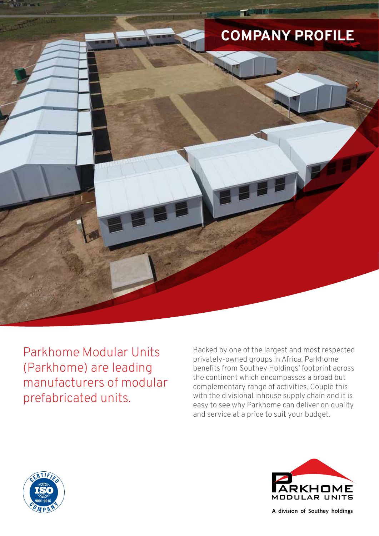

Parkhome Modular Units (Parkhome) are leading manufacturers of modular prefabricated units.

Backed by one of the largest and most respected privately-owned groups in Africa, Parkhome benefits from Southey Holdings' footprint across the continent which encompasses a broad but complementary range of activities. Couple this with the divisional inhouse supply chain and it is easy to see why Parkhome can deliver on quality and service at a price to suit your budget.





A division of Southey holdings